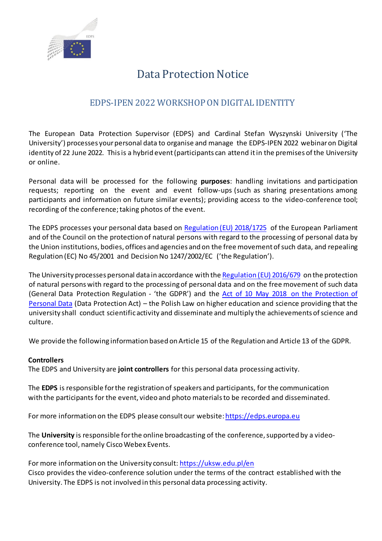

# Data Protection Notice

## EDPS-IPEN 2022 WORKSHOP ON DIGITAL IDENTITY

The European Data Protection Supervisor (EDPS) and Cardinal Stefan Wyszynski University ('The University') processes your personal data to organise and manage the EDPS-IPEN 2022 webinaron Digital identity of 22 June 2022. This is a hybrid event (participants can attend it in the premises of the University or online.

Personal data will be processed for the following **purposes**: handling invitations and participation requests; reporting on the event and event follow-ups (such as sharing presentations among participants and information on future similar events); providing access to the video-conference tool; recording of the conference; taking photos of the event.

The EDPS processes your personal data based on [Regulation \(EU\) 2018/1725](https://eur-lex.europa.eu/legal-content/EN/TXT/?uri=uriserv:OJ.L_.2018.295.01.0039.01.ENG&toc=OJ:L:2018:295:TOC) of the European Parliament and of the Council on the protection of natural persons with regard to the processing of personal data by the Union institutions, bodies, offices and agencies and on the free movement of such data, and repealing Regulation (EC) No 45/2001 and Decision No 1247/2002/EC ('the Regulation').

The University processes personal data in accordance with th[e Regulation \(EU\) 2016/679](https://eur-lex.europa.eu/legal-content/EN/TXT/?uri=CELEX%3A32016R0679) on the protection of natural persons with regard to the processing of personal data and on the free movement of such data (General Data Protection Regulation - 'the GDPR') and the [Act of 10 May 2018 on the Protection of](https://uodo.gov.pl/en/594)  [Personal Data](https://uodo.gov.pl/en/594) (Data Protection Act) – the Polish Law on higher education and science providing that the university shall conduct scientific activity and disseminate and multiply the achievements of science and culture.

We provide the following information based on Article 15 of the Regulation and Article 13 of the GDPR.

#### **Controllers**

The EDPS and University are **joint controllers** for this personal data processing activity.

The **EDPS** is responsible forthe registration of speakers and participants, for the communication with the participants for the event, video and photo materials to be recorded and disseminated.

For more information on the EDPS please consult our website[: https://edps.europa.eu](https://edps.europa.eu/)

The **University** is responsible for the online broadcasting of the conference, supported by a videoconference tool, namely Cisco Webex Events.

For more information on the University consult[: https://uksw.edu.pl/en](https://uksw.edu.pl/en) Cisco provides the video-conference solution under the terms of the contract established with the University. The EDPS is not involved in this personal data processing activity.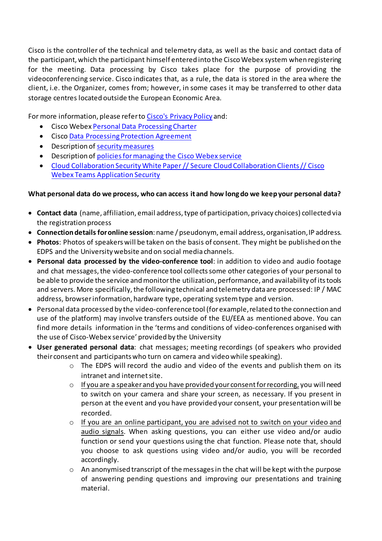Cisco is the controller of the technical and telemetry data, as well as the basic and contact data of the participant, which the participant himself entered into the Cisco Webex system when registering for the meeting. Data processing by Cisco takes place for the purpose of providing the videoconferencing service. Cisco indicates that, as a rule, the data is stored in the area where the client, i.e. the Organizer, comes from; however, in some cases it may be transferred to other data storage centres located outside the European Economic Area.

For more information, please refer t[o Cisco's Privacy Policy](https://www.cisco.com/c/en_be/about/legal/privacy-full.) and:

- Cisco Webe[x Personal Data Processing Charter](https://trustportal.cisco.com/c/dam/r/ctp/docs/privacydatasheet/collaboration/cisco-webex-meetings-privacy-data-sheet.pdf)
- Cisc[o Data Processing Protection Agreement](https://trustportal.cisco.com/c/dam/r/ctp/docs/dataprotection/cisco-master-data-protection-agreement.pdf)
- Description of [security measures](https://www.cisco.com/c/en/us/products/collateral/conferencing/webex-meeting-center/white-paper-c11-737588.html#CiscoSecurityandTrust)
- Description of [policies for managing the Cisco Webex service](https://help.webex.com/ld-nyw95a4-CiscoWebexMeetings/Webex-Site-Administration#Manage-Users)
- Cloud Collaboration Security White Paper // Secure Cloud Collaboration Clients // Cisco Webex Teams Application Security

### **What personal data do we process, who can access itand how long do we keep your personal data?**

- **Contact data** (name, affiliation, email address, type of participation, privacy choices) collected via the registration process
- **Connection details for online session**: name / pseudonym, email address, organisation, IP address.
- **Photos**: Photos of speakers will be taken on the basis of consent. They might be published on the EDPS and the University website and on social media channels.
- **Personal data processed by the video-conference tool**: in addition to video and audio footage and chat messages, the video-conference tool collects some other categories of your personal to be able to provide the service and monitor the utilization, performance, and availability of its tools and servers. More specifically, the following technical and telemetry data are processed: IP / MAC address, browser information, hardware type, operating system type and version.
- Personal data processed by the video-conference tool (for example, related to the connection and use of the platform) may involve transfers outside of the EU/EEA as mentioned above. You can find more details information in the 'terms and conditions of video-conferences organised with the use of Cisco-Webex service' provided by the University
- **User generated personal data**: chat messages; meeting recordings (of speakers who provided their consent and participants who turn on camera and video while speaking).
	- $\circ$  The EDPS will record the audio and video of the events and publish them on its intranet and internet site.
	- $\circ$  If you are a speaker and you have provided your consent for recording, you will need to switch on your camera and share your screen, as necessary. If you present in person at the event and you have provided your consent, your presentation will be recorded.
	- o If you are an online participant, you are advised not to switch on your video and audio signals. When asking questions, you can either use video and/or audio function or send your questions using the chat function. Please note that, should you choose to ask questions using video and/or audio, you will be recorded accordingly.
	- o An anonymised transcript of the messages in the chat will be kept with the purpose of answering pending questions and improving our presentations and training material.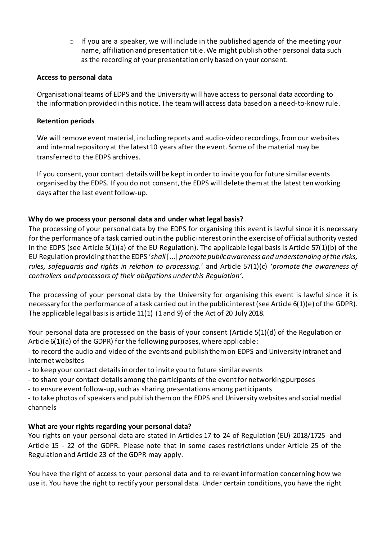$\circ$  If you are a speaker, we will include in the published agenda of the meeting your name, affiliation and presentation title.We might publish other personal data such as the recording of your presentation only based on your consent.

#### **Access to personal data**

Organisational teams of EDPS and the University will have access to personal data according to the information provided in this notice. The team will access data based on a need-to-know rule.

#### **Retention periods**

We will remove event material, including reports and audio-video recordings, from our websites and internal repository at the latest 10 years after the event. Some of the material may be transferred to the EDPS archives.

If you consent, your contact details will be kept in order to invite you for future similar events organised by the EDPS. If you do not consent, the EDPS will delete them at the latest ten working days after the last event follow-up.

#### **Why do we process your personal data and under what legal basis?**

The processing of your personal data by the EDPS for organising this event is lawful since it is necessary for the performance of a task carried out in the public interest or in the exercise of official authority vested in the EDPS (see Article 5(1)(a) of the EU Regulation). The applicable legal basis is Article 57(1)(b) of the EU Regulation providing that the EDPS '*shall* [...] *promote public awareness and understanding of the risks, rules, safeguards and rights in relation to processing.*' and Article 57(1)(c) '*promote the awareness of controllers and processors of their obligations under this Regulation'.*

The processing of your personal data by the University for organising this event is lawful since it is necessary for the performance of a task carried out in the public interest (see Article 6(1)(e) of the GDPR). The applicable legal basis is article 11(1) (1 and 9) of the Act of 20 July 2018.

Your personal data are processed on the basis of your consent (Article 5(1)(d) of the Regulation or Article 6(1)(a) of the GDPR) for the following purposes, where applicable:

- to record the audio and video of the events and publish them on EDPS and University intranet and internet websites

- to keep your contact details in order to invite you to future similar events

- to share your contact details among the participants of the event for networking purposes

- to ensure event follow-up, such as sharing presentations among participants

- to take photos of speakers and publish them on the EDPS and University websites and social medial channels

#### **What are your rights regarding your personal data?**

You rights on your personal data are stated in Articles 17 to 24 of Regulation (EU) 2018/1725 and Article 15 - 22 of the GDPR. Please note that in some cases restrictions under Article 25 of the Regulation and Article 23 of the GDPR may apply.

You have the right of access to your personal data and to relevant information concerning how we use it. You have the right to rectify your personal data. Under certain conditions, you have the right